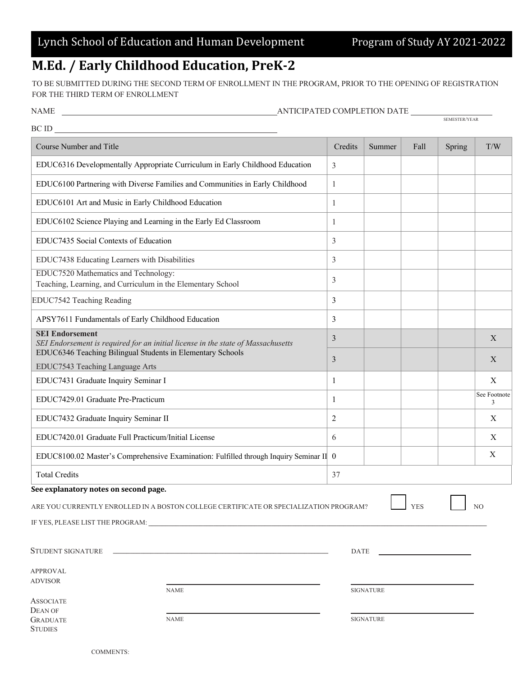## **M.Ed. / Early Childhood Education, PreK-2**

TO BE SUBMITTED DURING THE SECOND TERM OF ENROLLMENT IN THE PROGRAM, PRIOR TO THE OPENING OF REGISTRATION FOR THE THIRD TERM OF ENROLLMENT

| NAME |
|------|
|      |

 $\underbrace{\hspace{2.5cm}}_{\textrm{AMTICIPATED COMPLETION DATE} \underbrace{\hspace{2.5cm}}_{\textrm{semester/erar}}$ 

| BC ID                                                                                                                                                                    |              |                  |            |        |                   |
|--------------------------------------------------------------------------------------------------------------------------------------------------------------------------|--------------|------------------|------------|--------|-------------------|
| <b>Course Number and Title</b>                                                                                                                                           | Credits      | Summer           | Fall       | Spring | T/W               |
| EDUC6316 Developmentally Appropriate Curriculum in Early Childhood Education                                                                                             | 3            |                  |            |        |                   |
| EDUC6100 Partnering with Diverse Families and Communities in Early Childhood                                                                                             | $\mathbf{1}$ |                  |            |        |                   |
| EDUC6101 Art and Music in Early Childhood Education                                                                                                                      | 1            |                  |            |        |                   |
| EDUC6102 Science Playing and Learning in the Early Ed Classroom                                                                                                          | 1            |                  |            |        |                   |
| EDUC7435 Social Contexts of Education                                                                                                                                    | 3            |                  |            |        |                   |
| EDUC7438 Educating Learners with Disabilities                                                                                                                            | 3            |                  |            |        |                   |
| EDUC7520 Mathematics and Technology:<br>Teaching, Learning, and Curriculum in the Elementary School                                                                      | 3            |                  |            |        |                   |
| EDUC7542 Teaching Reading                                                                                                                                                | 3            |                  |            |        |                   |
| APSY7611 Fundamentals of Early Childhood Education                                                                                                                       | 3            |                  |            |        |                   |
| <b>SEI Endorsement</b><br>SEI Endorsement is required for an initial license in the state of Massachusetts<br>EDUC6346 Teaching Bilingual Students in Elementary Schools |              |                  |            |        | $\mathbf{X}$      |
| EDUC7543 Teaching Language Arts                                                                                                                                          | 3            |                  |            |        | $\mathbf{X}$      |
| EDUC7431 Graduate Inquiry Seminar I                                                                                                                                      | 1            |                  |            |        | X                 |
| EDUC7429.01 Graduate Pre-Practicum                                                                                                                                       | $\mathbf{1}$ |                  |            |        | See Footnote<br>3 |
| EDUC7432 Graduate Inquiry Seminar II                                                                                                                                     | 2            |                  |            |        | $\boldsymbol{X}$  |
| EDUC7420.01 Graduate Full Practicum/Initial License                                                                                                                      | 6            |                  |            |        | $\boldsymbol{X}$  |
| EDUC8100.02 Master's Comprehensive Examination: Fulfilled through Inquiry Seminar II 0                                                                                   |              |                  |            |        | X                 |
| <b>Total Credits</b>                                                                                                                                                     |              |                  |            |        |                   |
| See explanatory notes on second page.                                                                                                                                    |              |                  |            |        |                   |
| ARE YOU CURRENTLY ENROLLED IN A BOSTON COLLEGE CERTIFICATE OR SPECIALIZATION PROGRAM?                                                                                    |              |                  | <b>YES</b> |        | NO                |
| IF YES, PLEASE LIST THE PROGRAM:                                                                                                                                         |              |                  |            |        |                   |
|                                                                                                                                                                          | DATE         |                  |            |        |                   |
| <b>APPROVAL</b>                                                                                                                                                          |              |                  |            |        |                   |
| <b>ADVISOR</b><br><b>NAME</b>                                                                                                                                            |              | <b>SIGNATURE</b> |            |        |                   |
| <b>ASSOCIATE</b><br>DEAN OF                                                                                                                                              |              |                  |            |        |                   |
| <b>NAME</b><br><b>GRADUATE</b><br><b>STUDIES</b>                                                                                                                         |              | <b>SIGNATURE</b> |            |        |                   |